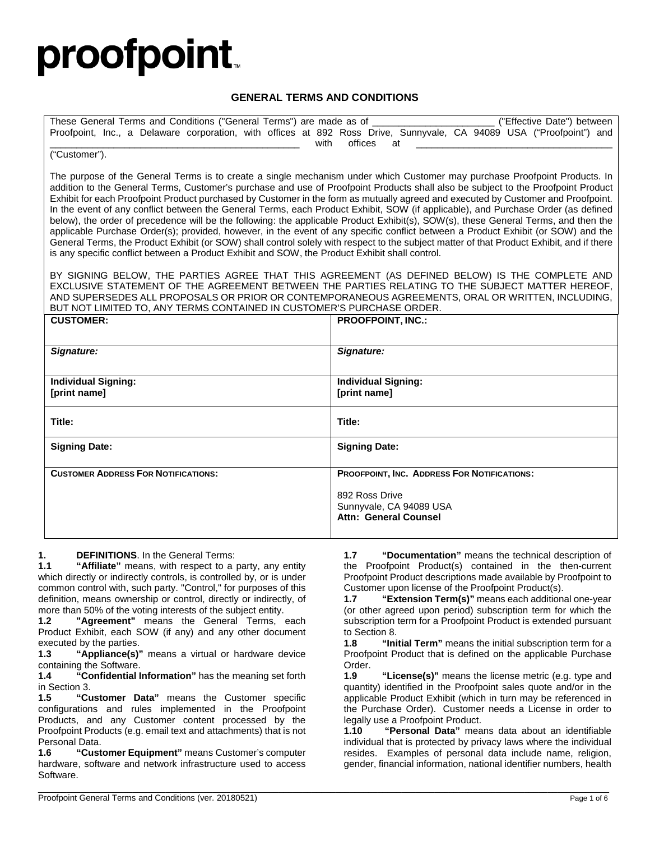# **proofpoint**

#### **GENERAL TERMS AND CONDITIONS**

| These General Terms and Conditions ("General Terms") are made as of _______                                                                                                                                                                                     | ("Effective Date") between                                                                                           |
|-----------------------------------------------------------------------------------------------------------------------------------------------------------------------------------------------------------------------------------------------------------------|----------------------------------------------------------------------------------------------------------------------|
|                                                                                                                                                                                                                                                                 | Proofpoint, Inc., a Delaware corporation, with offices at 892 Ross Drive, Sunnyvale, CA 94089 USA ("Proofpoint") and |
| offices<br>with<br>at                                                                                                                                                                                                                                           |                                                                                                                      |
| ("Customer").                                                                                                                                                                                                                                                   |                                                                                                                      |
|                                                                                                                                                                                                                                                                 |                                                                                                                      |
| The purpose of the General Terms is to create a single mechanism under which Customer may purchase Proofpoint Products. In<br>addition to the General Terms, Customer's purchase and use of Proofpoint Products shall also be subject to the Proofpoint Product |                                                                                                                      |
| Exhibit for each Proofpoint Product purchased by Customer in the form as mutually agreed and executed by Customer and Proofpoint.                                                                                                                               |                                                                                                                      |
| In the event of any conflict between the General Terms, each Product Exhibit, SOW (if applicable), and Purchase Order (as defined                                                                                                                               |                                                                                                                      |
| below), the order of precedence will be the following: the applicable Product Exhibit(s), SOW(s), these General Terms, and then the                                                                                                                             |                                                                                                                      |
| applicable Purchase Order(s); provided, however, in the event of any specific conflict between a Product Exhibit (or SOW) and the                                                                                                                               |                                                                                                                      |
| General Terms, the Product Exhibit (or SOW) shall control solely with respect to the subject matter of that Product Exhibit, and if there                                                                                                                       |                                                                                                                      |
| is any specific conflict between a Product Exhibit and SOW, the Product Exhibit shall control.                                                                                                                                                                  |                                                                                                                      |
|                                                                                                                                                                                                                                                                 |                                                                                                                      |
| BY SIGNING BELOW, THE PARTIES AGREE THAT THIS AGREEMENT (AS DEFINED BELOW) IS THE COMPLETE AND<br>EXCLUSIVE STATEMENT OF THE AGREEMENT BETWEEN THE PARTIES RELATING TO THE SUBJECT MATTER HEREOF,                                                               |                                                                                                                      |
| AND SUPERSEDES ALL PROPOSALS OR PRIOR OR CONTEMPORANEOUS AGREEMENTS, ORAL OR WRITTEN, INCLUDING,                                                                                                                                                                |                                                                                                                      |
| BUT NOT LIMITED TO, ANY TERMS CONTAINED IN CUSTOMER'S PURCHASE ORDER.                                                                                                                                                                                           |                                                                                                                      |
| <b>CUSTOMER:</b>                                                                                                                                                                                                                                                | <b>PROOFPOINT. INC.:</b>                                                                                             |
|                                                                                                                                                                                                                                                                 |                                                                                                                      |
|                                                                                                                                                                                                                                                                 |                                                                                                                      |
| Signature:                                                                                                                                                                                                                                                      | Signature:                                                                                                           |
|                                                                                                                                                                                                                                                                 |                                                                                                                      |
| <b>Individual Signing:</b>                                                                                                                                                                                                                                      | <b>Individual Signing:</b>                                                                                           |
| [print name]                                                                                                                                                                                                                                                    | [print name]                                                                                                         |
|                                                                                                                                                                                                                                                                 |                                                                                                                      |
| Title:                                                                                                                                                                                                                                                          | Title:                                                                                                               |
|                                                                                                                                                                                                                                                                 |                                                                                                                      |
| <b>Signing Date:</b>                                                                                                                                                                                                                                            | <b>Signing Date:</b>                                                                                                 |
|                                                                                                                                                                                                                                                                 |                                                                                                                      |
| <b>CUSTOMER ADDRESS FOR NOTIFICATIONS:</b>                                                                                                                                                                                                                      | PROOFPOINT, INC. ADDRESS FOR NOTIFICATIONS:                                                                          |
|                                                                                                                                                                                                                                                                 | 892 Ross Drive                                                                                                       |
|                                                                                                                                                                                                                                                                 | Sunnyvale, CA 94089 USA                                                                                              |
|                                                                                                                                                                                                                                                                 | <b>Attn: General Counsel</b>                                                                                         |
|                                                                                                                                                                                                                                                                 |                                                                                                                      |

\_\_\_\_\_\_\_\_\_\_\_\_\_\_\_\_\_\_\_\_\_\_\_\_\_\_\_\_\_\_\_\_\_\_\_\_\_\_\_\_\_\_\_\_\_\_\_\_\_\_\_\_\_\_\_\_\_\_\_\_\_\_\_\_\_\_\_\_\_\_\_\_\_\_\_\_\_\_\_\_\_\_\_\_\_\_\_\_\_\_\_\_\_\_\_\_\_\_\_\_\_\_\_\_\_\_\_\_\_\_\_\_\_\_\_\_\_\_\_\_\_

**1. DEFINITIONS**. In the General Terms:

"**Affiliate**" means, with respect to a party, any entity which directly or indirectly controls, is controlled by, or is under common control with, such party. "Control," for purposes of this definition, means ownership or control, directly or indirectly, of more than 50% of the voting interests of the subject entity.<br>1.2 **"Agreement"** means the General Terms.

**1.2 "Agreement"** means the General Terms, each Product Exhibit, each SOW (if any) and any other document executed by the parties.<br>1.3 "Appliance(s)"

**1.3 "Appliance(s)"** means a virtual or hardware device containing the Software.<br>1.4 "Confidential li

**1.4 "Confidential Information"** has the meaning set forth in Section 3.

**1.5 "Customer Data"** means the Customer specific configurations and rules implemented in the Proofpoint Products, and any Customer content processed by the Proofpoint Products (e.g. email text and attachments) that is not Personal Data.

**1.6 "Customer Equipment"** means Customer's computer hardware, software and network infrastructure used to access Software.

**1.7 "Documentation"** means the technical description of the Proofpoint Product(s) contained in the then-current Proofpoint Product descriptions made available by Proofpoint to Customer upon license of the Proofpoint Product(s).

**1.7 "Extension Term(s)"** means each additional one-year (or other agreed upon period) subscription term for which the subscription term for a Proofpoint Product is extended pursuant to Section 8.

**1.8 "Initial Term"** means the initial subscription term for a Proofpoint Product that is defined on the applicable Purchase Order.<br>1.9

"License(s)" means the license metric (e.g. type and quantity) identified in the Proofpoint sales quote and/or in the applicable Product Exhibit (which in turn may be referenced in the Purchase Order). Customer needs a License in order to legally use a Proofpoint Product.<br>**1.10** "Personal Data" mea

**1.10 "Personal Data"** means data about an identifiable individual that is protected by privacy laws where the individual resides. Examples of personal data include name, religion, gender, financial information, national identifier numbers, health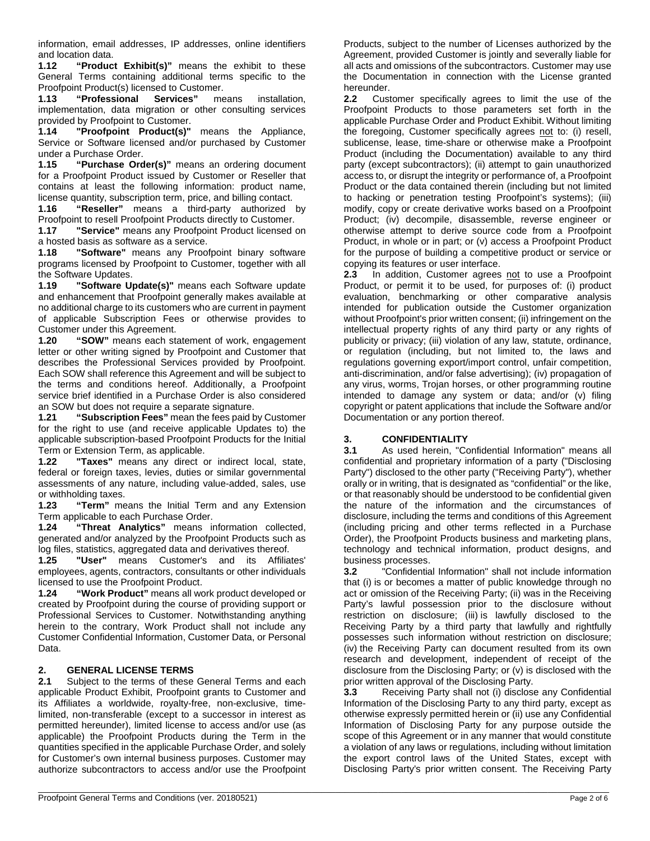information, email addresses, IP addresses, online identifiers and location data.

**1.12 "Product Exhibit(s)"** means the exhibit to these General Terms containing additional terms specific to the Proofpoint Product(s) licensed to Customer.

**1.13 "Professional Services"** means installation, implementation, data migration or other consulting services provided by Proofpoint to Customer.

**1.14 "Proofpoint Product(s)"** means the Appliance, Service or Software licensed and/or purchased by Customer

under a Purchase Order. **1.15 "Purchase Order(s)"** means an ordering document for a Proofpoint Product issued by Customer or Reseller that contains at least the following information: product name, license quantity, subscription term, price, and billing contact.<br>**1.16 "Reseller"** means a third-party authorized

**1.16 "Reseller"** means a third-party authorized by Proofpoint to resell Proofpoint Products directly to Customer.

**1.17 "Service"** means any Proofpoint Product licensed on a hosted basis as software as a service.

**1.18 "Software"** means any Proofpoint binary software programs licensed by Proofpoint to Customer, together with all the Software Updates.

**1.19 "Software Update(s)"** means each Software update and enhancement that Proofpoint generally makes available at no additional charge to its customers who are current in payment of applicable Subscription Fees or otherwise provides to Customer under this Agreement.<br>1.20 "SOW" means each sta

**1.20 "SOW"** means each statement of work, engagement letter or other writing signed by Proofpoint and Customer that describes the Professional Services provided by Proofpoint. Each SOW shall reference this Agreement and will be subject to the terms and conditions hereof. Additionally, a Proofpoint service brief identified in a Purchase Order is also considered an SOW but does not require a separate signature.

**1.21 "Subscription Fees"** mean the fees paid by Customer for the right to use (and receive applicable Updates to) the applicable subscription-based Proofpoint Products for the Initial Term or Extension Term, as applicable.

"Taxes" means any direct or indirect local, state, federal or foreign taxes, levies, duties or similar governmental assessments of any nature, including value-added, sales, use or withholding taxes.<br>1.23 "Term" me

"Term" means the Initial Term and any Extension Term applicable to each Purchase Order.

**1.24 "Threat Analytics"** means information collected, generated and/or analyzed by the Proofpoint Products such as log files, statistics, aggregated data and derivatives thereof.

**1.25 "User"** means Customer's and its Affiliates' employees, agents, contractors, consultants or other individuals licensed to use the Proofpoint Product.

**1.24 "Work Product"** means all work product developed or created by Proofpoint during the course of providing support or Professional Services to Customer. Notwithstanding anything herein to the contrary, Work Product shall not include any Customer Confidential Information, Customer Data, or Personal Data.

#### **2. GENERAL LICENSE TERMS**

**2.1** Subject to the terms of these General Terms and each applicable Product Exhibit, Proofpoint grants to Customer and its Affiliates a worldwide, royalty-free, non-exclusive, timelimited, non-transferable (except to a successor in interest as permitted hereunder), limited license to access and/or use (as applicable) the Proofpoint Products during the Term in the quantities specified in the applicable Purchase Order, and solely for Customer's own internal business purposes. Customer may authorize subcontractors to access and/or use the Proofpoint Products, subject to the number of Licenses authorized by the Agreement, provided Customer is jointly and severally liable for all acts and omissions of the subcontractors. Customer may use the Documentation in connection with the License granted hereunder.<br>2.2 Cust

**2.2** Customer specifically agrees to limit the use of the Proofpoint Products to those parameters set forth in the applicable Purchase Order and Product Exhibit. Without limiting the foregoing, Customer specifically agrees not to: (i) resell, sublicense, lease, time-share or otherwise make a Proofpoint Product (including the Documentation) available to any third party (except subcontractors); (ii) attempt to gain unauthorized access to, or disrupt the integrity or performance of, a Proofpoint Product or the data contained therein (including but not limited to hacking or penetration testing Proofpoint's systems); (iii) modify, copy or create derivative works based on a Proofpoint Product; (iv) decompile, disassemble, reverse engineer or otherwise attempt to derive source code from a Proofpoint Product, in whole or in part; or (v) access a Proofpoint Product for the purpose of building a competitive product or service or copying its features or user interface.<br>2.3 In addition, Customer agrees

**2.3** In addition, Customer agrees not to use a Proofpoint Product, or permit it to be used, for purposes of: (i) product evaluation, benchmarking or other comparative analysis intended for publication outside the Customer organization without Proofpoint's prior written consent; (ii) infringement on the intellectual property rights of any third party or any rights of publicity or privacy; (iii) violation of any law, statute, ordinance, or regulation (including, but not limited to, the laws and regulations governing export/import control, unfair competition, anti-discrimination, and/or false advertising); (iv) propagation of any virus, worms, Trojan horses, or other programming routine intended to damage any system or data; and/or (v) filing copyright or patent applications that include the Software and/or Documentation or any portion thereof.

# **3. CONFIDENTIALITY**<br>**3.1** As used herein. "Co

**3.1** As used herein, "Confidential Information" means all confidential and proprietary information of a party ("Disclosing Party") disclosed to the other party ("Receiving Party"), whether orally or in writing, that is designated as "confidential" or the like, or that reasonably should be understood to be confidential given the nature of the information and the circumstances of disclosure, including the terms and conditions of this Agreement (including pricing and other terms reflected in a Purchase Order), the Proofpoint Products business and marketing plans, technology and technical information, product designs, and business processes.

**3.2** "Confidential Information" shall not include information that (i) is or becomes a matter of public knowledge through no act or omission of the Receiving Party; (ii) was in the Receiving Party's lawful possession prior to the disclosure without restriction on disclosure; (iii) is lawfully disclosed to the Receiving Party by a third party that lawfully and rightfully possesses such information without restriction on disclosure; (iv) the Receiving Party can document resulted from its own research and development, independent of receipt of the disclosure from the Disclosing Party; or (v) is disclosed with the prior written approval of the Disclosing Party.

**3.3** Receiving Party shall not (i) disclose any Confidential Information of the Disclosing Party to any third party, except as otherwise expressly permitted herein or (ii) use any Confidential Information of Disclosing Party for any purpose outside the scope of this Agreement or in any manner that would constitute a violation of any laws or regulations, including without limitation the export control laws of the United States, except with Disclosing Party's prior written consent. The Receiving Party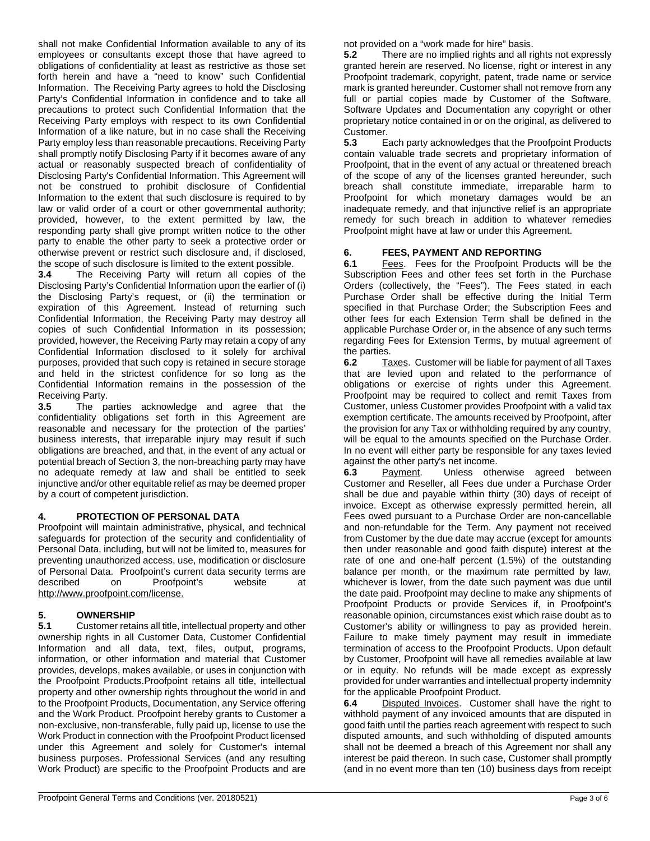shall not make Confidential Information available to any of its employees or consultants except those that have agreed to obligations of confidentiality at least as restrictive as those set forth herein and have a "need to know" such Confidential Information. The Receiving Party agrees to hold the Disclosing Party's Confidential Information in confidence and to take all precautions to protect such Confidential Information that the Receiving Party employs with respect to its own Confidential Information of a like nature, but in no case shall the Receiving Party employ less than reasonable precautions. Receiving Party shall promptly notify Disclosing Party if it becomes aware of any actual or reasonably suspected breach of confidentiality of Disclosing Party's Confidential Information. This Agreement will not be construed to prohibit disclosure of Confidential Information to the extent that such disclosure is required to by law or valid order of a court or other governmental authority; provided, however, to the extent permitted by law, the responding party shall give prompt written notice to the other party to enable the other party to seek a protective order or otherwise prevent or restrict such disclosure and, if disclosed, the scope of such disclosure is limited to the extent possible.<br>3.4 The Receiving Party will return all copies of t

**3.4** The Receiving Party will return all copies of the Disclosing Party's Confidential Information upon the earlier of (i) the Disclosing Party's request, or (ii) the termination or expiration of this Agreement. Instead of returning such Confidential Information, the Receiving Party may destroy all copies of such Confidential Information in its possession; provided, however, the Receiving Party may retain a copy of any Confidential Information disclosed to it solely for archival purposes, provided that such copy is retained in secure storage and held in the strictest confidence for so long as the Confidential Information remains in the possession of the Receiving Party.

**3.5** The parties acknowledge and agree that the confidentiality obligations set forth in this Agreement are reasonable and necessary for the protection of the parties' business interests, that irreparable injury may result if such obligations are breached, and that, in the event of any actual or potential breach of Section 3, the non-breaching party may have no adequate remedy at law and shall be entitled to seek injunctive and/or other equitable relief as may be deemed proper by a court of competent jurisdiction.

#### **4. PROTECTION OF PERSONAL DATA**

Proofpoint will maintain administrative, physical, and technical safeguards for protection of the security and confidentiality of Personal Data, including, but will not be limited to, measures for preventing unauthorized access, use, modification or disclosure of Personal Data. Proofpoint's current data security terms are described on Proofpoint's website at [http://www.proofpoint.com/license.](http://www.proofpoint.com/license)

# **5. OWNERSHIP**<br>**5.1** Customer reta

**5.1** Customer retains all title, intellectual property and other ownership rights in all Customer Data, Customer Confidential Information and all data, text, files, output, programs, information, or other information and material that Customer provides, develops, makes available, or uses in conjunction with the Proofpoint Products.Proofpoint retains all title, intellectual property and other ownership rights throughout the world in and to the Proofpoint Products, Documentation, any Service offering and the Work Product. Proofpoint hereby grants to Customer a non-exclusive, non-transferable, fully paid up, license to use the Work Product in connection with the Proofpoint Product licensed under this Agreement and solely for Customer's internal business purposes. Professional Services (and any resulting Work Product) are specific to the Proofpoint Products and are

not provided on a "work made for hire" basis.<br>**5.2** There are no implied rights and all ri

**5.2** There are no implied rights and all rights not expressly granted herein are reserved. No license, right or interest in any Proofpoint trademark, copyright, patent, trade name or service mark is granted hereunder. Customer shall not remove from any full or partial copies made by Customer of the Software, Software Updates and Documentation any copyright or other proprietary notice contained in or on the original, as delivered to Customer.<br>5.3 E

**5.3** Each party acknowledges that the Proofpoint Products contain valuable trade secrets and proprietary information of Proofpoint, that in the event of any actual or threatened breach of the scope of any of the licenses granted hereunder, such breach shall constitute immediate, irreparable harm to Proofpoint for which monetary damages would be an inadequate remedy, and that injunctive relief is an appropriate remedy for such breach in addition to whatever remedies Proofpoint might have at law or under this Agreement.

# **6. FEES, PAYMENT AND REPORTING**

Fees. Fees for the Proofpoint Products will be the Subscription Fees and other fees set forth in the Purchase Orders (collectively, the "Fees"). The Fees stated in each Purchase Order shall be effective during the Initial Term specified in that Purchase Order; the Subscription Fees and other fees for each Extension Term shall be defined in the applicable Purchase Order or, in the absence of any such terms regarding Fees for Extension Terms, by mutual agreement of the parties.<br>6.2 Ta

**6.2** Taxes. Customer will be liable for payment of all Taxes that are levied upon and related to the performance of obligations or exercise of rights under this Agreement. Proofpoint may be required to collect and remit Taxes from Customer, unless Customer provides Proofpoint with a valid tax exemption certificate. The amounts received by Proofpoint, after the provision for any Tax or withholding required by any country, will be equal to the amounts specified on the Purchase Order. In no event will either party be responsible for any taxes levied

against the other party's net income.<br>**6.3** Payment. Unless othe Unless otherwise agreed between Customer and Reseller, all Fees due under a Purchase Order shall be due and payable within thirty (30) days of receipt of invoice. Except as otherwise expressly permitted herein, all Fees owed pursuant to a Purchase Order are non-cancellable and non-refundable for the Term. Any payment not received from Customer by the due date may accrue (except for amounts then under reasonable and good faith dispute) interest at the rate of one and one-half percent (1.5%) of the outstanding balance per month, or the maximum rate permitted by law, whichever is lower, from the date such payment was due until the date paid. Proofpoint may decline to make any shipments of Proofpoint Products or provide Services if, in Proofpoint's reasonable opinion, circumstances exist which raise doubt as to Customer's ability or willingness to pay as provided herein. Failure to make timely payment may result in immediate termination of access to the Proofpoint Products. Upon default by Customer, Proofpoint will have all remedies available at law or in equity. No refunds will be made except as expressly provided for under warranties and intellectual property indemnity for the applicable Proofpoint Product.

**6.4** Disputed Invoices. Customer shall have the right to withhold payment of any invoiced amounts that are disputed in good faith until the parties reach agreement with respect to such disputed amounts, and such withholding of disputed amounts shall not be deemed a breach of this Agreement nor shall any interest be paid thereon. In such case, Customer shall promptly (and in no event more than ten (10) business days from receipt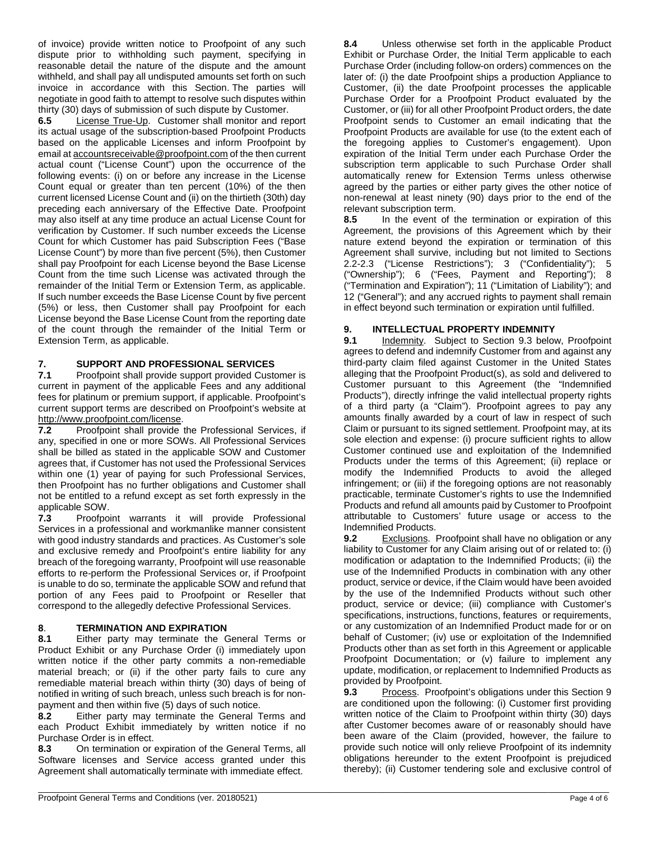of invoice) provide written notice to Proofpoint of any such dispute prior to withholding such payment, specifying in reasonable detail the nature of the dispute and the amount withheld, and shall pay all undisputed amounts set forth on such invoice in accordance with this Section. The parties will negotiate in good faith to attempt to resolve such disputes within thirty (30) days of submission of such dispute by Customer.

**6.5** License True-Up. Customer shall monitor and report its actual usage of the subscription-based Proofpoint Products based on the applicable Licenses and inform Proofpoint by email a[t accountsreceivable@proofpoint.com](mailto:accountsreceivable@proofpoint.com) of the then current actual count ("License Count") upon the occurrence of the following events: (i) on or before any increase in the License Count equal or greater than ten percent (10%) of the then current licensed License Count and (ii) on the thirtieth (30th) day preceding each anniversary of the Effective Date. Proofpoint may also itself at any time produce an actual License Count for verification by Customer. If such number exceeds the License Count for which Customer has paid Subscription Fees ("Base License Count") by more than five percent (5%), then Customer shall pay Proofpoint for each License beyond the Base License Count from the time such License was activated through the remainder of the Initial Term or Extension Term, as applicable. If such number exceeds the Base License Count by five percent (5%) or less, then Customer shall pay Proofpoint for each License beyond the Base License Count from the reporting date of the count through the remainder of the Initial Term or Extension Term, as applicable.

#### **7. SUPPORT AND PROFESSIONAL SERVICES**

**7.1** Proofpoint shall provide support provided Customer is current in payment of the applicable Fees and any additional fees for platinum or premium support, if applicable. Proofpoint's current support terms are described on Proofpoint's website at [http://www.proofpoint.com/license.](http://www.proofpoint.com/license)<br>**7.2** Proofpoint shall provide

Proofpoint shall provide the Professional Services, if any, specified in one or more SOWs. All Professional Services shall be billed as stated in the applicable SOW and Customer agrees that, if Customer has not used the Professional Services within one (1) year of paying for such Professional Services, then Proofpoint has no further obligations and Customer shall not be entitled to a refund except as set forth expressly in the applicable SOW.

**7.3** Proofpoint warrants it will provide Professional Services in a professional and workmanlike manner consistent with good industry standards and practices. As Customer's sole and exclusive remedy and Proofpoint's entire liability for any breach of the foregoing warranty, Proofpoint will use reasonable efforts to re-perform the Professional Services or, if Proofpoint is unable to do so, terminate the applicable SOW and refund that portion of any Fees paid to Proofpoint or Reseller that correspond to the allegedly defective Professional Services.

# **8**. **TERMINATION AND EXPIRATION**

**8.1** Either party may terminate the General Terms or Product Exhibit or any Purchase Order (i) immediately upon written notice if the other party commits a non-remediable material breach; or (ii) if the other party fails to cure any remediable material breach within thirty (30) days of being of notified in writing of such breach, unless such breach is for non-

payment and then within five (5) days of such notice.<br>8.2 Either party may terminate the General T **8.2** Either party may terminate the General Terms and each Product Exhibit immediately by written notice if no Purchase Order is in effect.

**8.3** On termination or expiration of the General Terms, all Software licenses and Service access granted under this Agreement shall automatically terminate with immediate effect.

**8.4** Unless otherwise set forth in the applicable Product Exhibit or Purchase Order, the Initial Term applicable to each Purchase Order (including follow-on orders) commences on the later of: (i) the date Proofpoint ships a production Appliance to Customer, (ii) the date Proofpoint processes the applicable Purchase Order for a Proofpoint Product evaluated by the Customer, or (iii) for all other Proofpoint Product orders, the date Proofpoint sends to Customer an email indicating that the Proofpoint Products are available for use (to the extent each of the foregoing applies to Customer's engagement). Upon expiration of the Initial Term under each Purchase Order the subscription term applicable to such Purchase Order shall automatically renew for Extension Terms unless otherwise agreed by the parties or either party gives the other notice of non-renewal at least ninety (90) days prior to the end of the relevant subscription term.<br>8.5 In the event of the

**8.5** In the event of the termination or expiration of this Agreement, the provisions of this Agreement which by their nature extend beyond the expiration or termination of this Agreement shall survive, including but not limited to Sections 2.2-2.3 ("License Restrictions"); 3 ("Confidentiality"); 5 ("Ownership"); 6 ("Fees, Payment and Reporting"); 8 ("Termination and Expiration"); 11 ("Limitation of Liability"); and 12 ("General"); and any accrued rights to payment shall remain in effect beyond such termination or expiration until fulfilled.

# **9. INTELLECTUAL PROPERTY INDEMNITY**<br>**9.1 Indemnity.** Subject to Section 9.3 below

**9.1** Indemnity. Subject to Section 9.3 below, Proofpoint agrees to defend and indemnify Customer from and against any third-party claim filed against Customer in the United States alleging that the Proofpoint Product(s), as sold and delivered to Customer pursuant to this Agreement (the "Indemnified Products"), directly infringe the valid intellectual property rights of a third party (a "Claim"). Proofpoint agrees to pay any amounts finally awarded by a court of law in respect of such Claim or pursuant to its signed settlement. Proofpoint may, at its sole election and expense: (i) procure sufficient rights to allow Customer continued use and exploitation of the Indemnified Products under the terms of this Agreement; (ii) replace or modify the Indemnified Products to avoid the alleged infringement; or (iii) if the foregoing options are not reasonably practicable, terminate Customer's rights to use the Indemnified Products and refund all amounts paid by Customer to Proofpoint attributable to Customers' future usage or access to the Indemnified Products.

**9.2** Exclusions. Proofpoint shall have no obligation or any liability to Customer for any Claim arising out of or related to: (i) modification or adaptation to the Indemnified Products; (ii) the use of the Indemnified Products in combination with any other product, service or device, if the Claim would have been avoided by the use of the Indemnified Products without such other product, service or device; (iii) compliance with Customer's specifications, instructions, functions, features or requirements, or any customization of an Indemnified Product made for or on behalf of Customer; (iv) use or exploitation of the Indemnified Products other than as set forth in this Agreement or applicable Proofpoint Documentation; or (v) failure to implement any update, modification, or replacement to Indemnified Products as provided by Proofpoint.

**9.3** Process. Proofpoint's obligations under this Section 9 are conditioned upon the following: (i) Customer first providing written notice of the Claim to Proofpoint within thirty (30) days after Customer becomes aware of or reasonably should have been aware of the Claim (provided, however, the failure to provide such notice will only relieve Proofpoint of its indemnity obligations hereunder to the extent Proofpoint is prejudiced thereby); (ii) Customer tendering sole and exclusive control of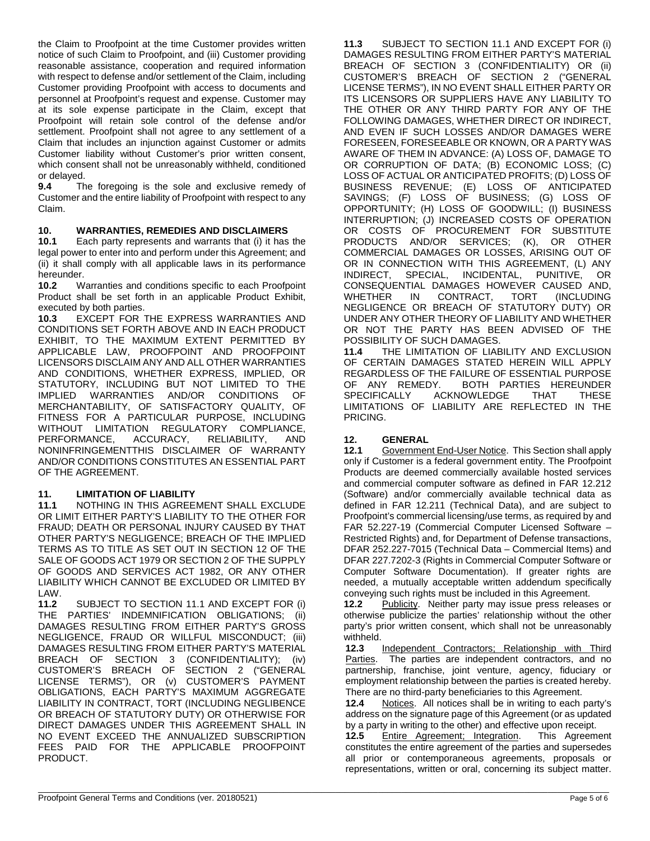the Claim to Proofpoint at the time Customer provides written notice of such Claim to Proofpoint, and (iii) Customer providing reasonable assistance, cooperation and required information with respect to defense and/or settlement of the Claim, including Customer providing Proofpoint with access to documents and personnel at Proofpoint's request and expense. Customer may at its sole expense participate in the Claim, except that Proofpoint will retain sole control of the defense and/or settlement. Proofpoint shall not agree to any settlement of a Claim that includes an injunction against Customer or admits Customer liability without Customer's prior written consent, which consent shall not be unreasonably withheld, conditioned or delayed.

**9.4** The foregoing is the sole and exclusive remedy of Customer and the entire liability of Proofpoint with respect to any Claim.

# **10. WARRANTIES, REMEDIES AND DISCLAIMERS**

**10.1** Each party represents and warrants that (i) it has the legal power to enter into and perform under this Agreement; and (ii) it shall comply with all applicable laws in its performance hereunder.

**10.2** Warranties and conditions specific to each Proofpoint Product shall be set forth in an applicable Product Exhibit, executed by both parties.

**10.3** EXCEPT FOR THE EXPRESS WARRANTIES AND CONDITIONS SET FORTH ABOVE AND IN EACH PRODUCT EXHIBIT, TO THE MAXIMUM EXTENT PERMITTED BY APPLICABLE LAW, PROOFPOINT AND PROOFPOINT LICENSORS DISCLAIM ANY AND ALL OTHER WARRANTIES AND CONDITIONS, WHETHER EXPRESS, IMPLIED, OR STATUTORY, INCLUDING BUT NOT LIMITED TO THE IMPLIED WARRANTIES AND/OR CONDITIONS OF WARRANTIES AND/OR MERCHANTABILITY, OF SATISFACTORY QUALITY, OF FITNESS FOR A PARTICULAR PURPOSE, INCLUDING WITHOUT LIMITATION REGULATORY COMPLIANCE,<br>PERFORMANCE, ACCURACY, RELIABILITY, AND PERFORMANCE, ACCURACY, RELIABILITY, AND NONINFRINGEMENTTHIS DISCLAIMER OF WARRANTY AND/OR CONDITIONS CONSTITUTES AN ESSENTIAL PART OF THE AGREEMENT.

## **11. LIMITATION OF LIABILITY<br>11.1 NOTHING IN THIS AGREE!**

**11.1** NOTHING IN THIS AGREEMENT SHALL EXCLUDE OR LIMIT EITHER PARTY'S LIABILITY TO THE OTHER FOR FRAUD; DEATH OR PERSONAL INJURY CAUSED BY THAT OTHER PARTY'S NEGLIGENCE; BREACH OF THE IMPLIED TERMS AS TO TITLE AS SET OUT IN SECTION 12 OF THE SALE OF GOODS ACT 1979 OR SECTION 2 OF THE SUPPLY OF GOODS AND SERVICES ACT 1982, OR ANY OTHER LIABILITY WHICH CANNOT BE EXCLUDED OR LIMITED BY LAW.<br>**11.2** 

SUBJECT TO SECTION 11.1 AND EXCEPT FOR (i) THE PARTIES' INDEMNIFICATION OBLIGATIONS; (ii) DAMAGES RESULTING FROM EITHER PARTY'S GROSS NEGLIGENCE, FRAUD OR WILLFUL MISCONDUCT; (iii) DAMAGES RESULTING FROM EITHER PARTY'S MATERIAL (CONFIDENTIALITY); (iv) CUSTOMER'S BREACH OF SECTION 2 ("GENERAL LICENSE TERMS"), OR (v) CUSTOMER'S PAYMENT OBLIGATIONS, EACH PARTY'S MAXIMUM AGGREGATE LIABILITY IN CONTRACT, TORT (INCLUDING NEGLIBENCE OR BREACH OF STATUTORY DUTY) OR OTHERWISE FOR DIRECT DAMAGES UNDER THIS AGREEMENT SHALL IN NO EVENT EXCEED THE ANNUALIZED SUBSCRIPTION FEES PAID FOR THE APPLICABLE PROOFPOINT PRODUCT.

**11.3** SUBJECT TO SECTION 11.1 AND EXCEPT FOR (i) DAMAGES RESULTING FROM EITHER PARTY'S MATERIAL BREACH OF SECTION 3 (CONFIDENTIALITY) OR (ii) CUSTOMER'S BREACH OF SECTION 2 ("GENERAL LICENSE TERMS"), IN NO EVENT SHALL EITHER PARTY OR ITS LICENSORS OR SUPPLIERS HAVE ANY LIABILITY TO THE OTHER OR ANY THIRD PARTY FOR ANY OF THE FOLLOWING DAMAGES, WHETHER DIRECT OR INDIRECT, AND EVEN IF SUCH LOSSES AND/OR DAMAGES WERE FORESEEN, FORESEEABLE OR KNOWN, OR A PARTY WAS AWARE OF THEM IN ADVANCE: (A) LOSS OF, DAMAGE TO OR CORRUPTION OF DATA; (B) ECONOMIC LOSS; (C) LOSS OF ACTUAL OR ANTICIPATED PROFITS; (D) LOSS OF BUSINESS REVENUE; (E) LOSS OF ANTICIPATED SAVINGS; (F) LOSS OF BUSINESS; (G) LOSS OF OPPORTUNITY; (H) LOSS OF GOODWILL; (I) BUSINESS INTERRUPTION; (J) INCREASED COSTS OF OPERATION OR COSTS OF PROCUREMENT FOR SUBSTITUTE PRODUCTS AND/OR SERVICES; (K), OR OTHER COMMERCIAL DAMAGES OR LOSSES, ARISING OUT OF OR IN CONNECTION WITH THIS AGREEMENT, (L) ANY<br>INDIRECT, SPECIAL, INCIDENTAL, PUNITIVE, OR INCIDENTAL, PUNITIVE, OR CONSEQUENTIAL DAMAGES HOWEVER CAUSED AND, WHETHER IN CONTRACT, TORT (INCLUDING NEGLIGENCE OR BREACH OF STATUTORY DUTY) OR UNDER ANY OTHER THEORY OF LIABILITY AND WHETHER OR NOT THE PARTY HAS BEEN ADVISED OF THE POSSIBILITY OF SUCH DAMAGES.<br>11.4 THE LIMITATION OF LIAB

**11.4** THE LIMITATION OF LIABILITY AND EXCLUSION OF CERTAIN DAMAGES STATED HEREIN WILL APPLY REGARDLESS OF THE FAILURE OF ESSENTIAL PURPOSE<br>OF ANY REMEDY. BOTH PARTIES HEREUNDER OF ANY REMEDY. BOTH PARTIES HEREUNDER<br>SPECIFICALLY ACKNOWLEDGE THAT THESE **ACKNOWLEDGE** LIMITATIONS OF LIABILITY ARE REFLECTED IN THE PRICING.

## 12. **GENERAL**<br>12.1 Governmer

**12.1** Government End-User Notice. This Section shall apply only if Customer is a federal government entity. The Proofpoint Products are deemed commercially available hosted services and commercial computer software as defined in FAR 12.212 (Software) and/or commercially available technical data as defined in FAR 12.211 (Technical Data), and are subject to Proofpoint's commercial licensing/use terms, as required by and FAR 52.227-19 (Commercial Computer Licensed Software – Restricted Rights) and, for Department of Defense transactions, DFAR 252.227-7015 (Technical Data – Commercial Items) and DFAR 227.7202-3 (Rights in Commercial Computer Software or Computer Software Documentation). If greater rights are needed, a mutually acceptable written addendum specifically conveying such rights must be included in this Agreement.

12.2 Publicity. Neither party may issue press releases or otherwise publicize the parties' relationship without the other party's prior written consent, which shall not be unreasonably withheld.<br>12.3

**12.3** Independent Contractors; Relationship with Third Parties. The parties are independent contractors, and no The parties are independent contractors, and no partnership, franchise, joint venture, agency, fiduciary or employment relationship between the parties is created hereby. There are no third-party beneficiaries to this Agreement.

**12.4** Notices. All notices shall be in writing to each party's address on the signature page of this Agreement (or as updated by a party in writing to the other) and effective upon receipt.<br>**12.5** Entire Agreement: Integration. This Agreement

**Entire Agreement; Integration.** constitutes the entire agreement of the parties and supersedes all prior or contemporaneous agreements, proposals or representations, written or oral, concerning its subject matter.